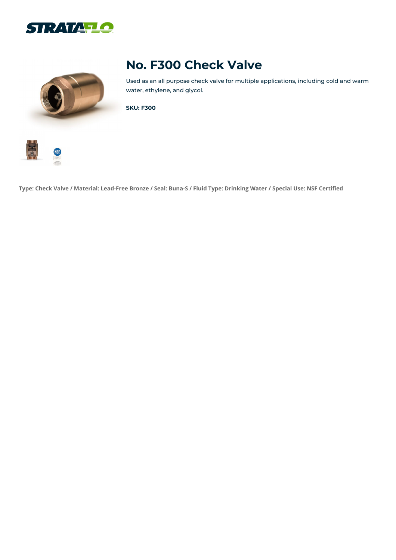



## **No. F300 Check Valve**

Used as an all purpose check valve for multiple applications, including cold and warm water, ethylene, and glycol.

**SKU: F300**



Type: Check Valve / Material: Lead-Free Bronze / Seal: Buna-S / Fluid Type: Drinking Water / Special Use: NSF Certified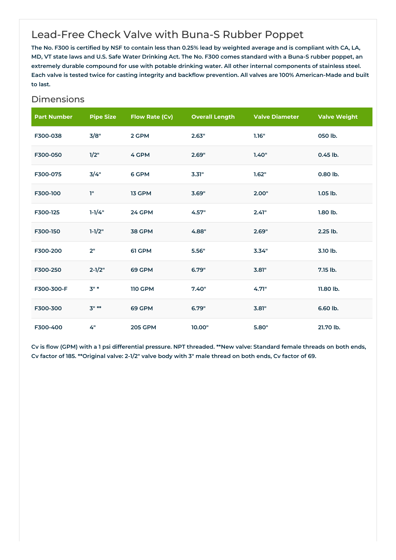## Lead-Free Check Valve with Buna-S Rubber Poppet

The No. F300 is certified by NSF to contain less than 0.25% lead by weighted average and is compliant with CA, LA, MD, VT state laws and U.S. Safe Water Drinking Act. The No. F300 comes standard with a Buna-S rubber poppet, an extremely durable compound for use with potable drinking water. All other internal components of stainless steel. Each valve is tested twice for casting integrity and backflow prevention. All valves are 100% American-Made and built **to last.**

## Dimensions

| <b>Part Number</b> | <b>Pipe Size</b> | <b>Flow Rate (Cv)</b> | <b>Overall Length</b> | <b>Valve Diameter</b> | <b>Valve Weight</b> |
|--------------------|------------------|-----------------------|-----------------------|-----------------------|---------------------|
| F300-038           | 3/8"             | 2 GPM                 | 2.63"                 | 1.16"                 | 050 lb.             |
| F300-050           | 1/2"             | 4 GPM                 | 2.69"                 | 1.40"                 | 0.45 lb.            |
| F300-075           | 3/4"             | 6 GPM                 | 3.31"                 | 1.62"                 | 0.80 lb.            |
| F300-100           | Ţ"               | 13 GPM                | 3.69"                 | 2.00"                 | $1.05$ lb.          |
| F300-125           | $1 - 1/4"$       | 24 GPM                | 4.57"                 | 2.41"                 | 1.80 lb.            |
| F300-150           | $1 - 1/2"$       | <b>38 GPM</b>         | 4.88"                 | 2.69"                 | 2.25 lb.            |
| F300-200           | 2"               | 61 GPM                | 5.56"                 | 3.34"                 | 3.10 lb.            |
| F300-250           | $2 - 1/2"$       | 69 GPM                | 6.79"                 | 3.81"                 | 7.15 lb.            |
| F300-300-F         | $3"$ *           | <b>110 GPM</b>        | 7.40"                 | 4.71"                 | 11.80 lb.           |
| F300-300           | $3" **$          | 69 GPM                | 6.79"                 | 3.81"                 | 6.60 lb.            |
| F300-400           | 4"               | <b>205 GPM</b>        | 10.00"                | 5.80"                 | 21.70 lb.           |

Cv is flow (GPM) with a 1 psi differential pressure. NPT threaded. \*\*New valve: Standard female threads on both ends, Cv factor of 185. \*\* Original valve: 2-1/2" valve body with 3" male thread on both ends, Cv factor of 69.